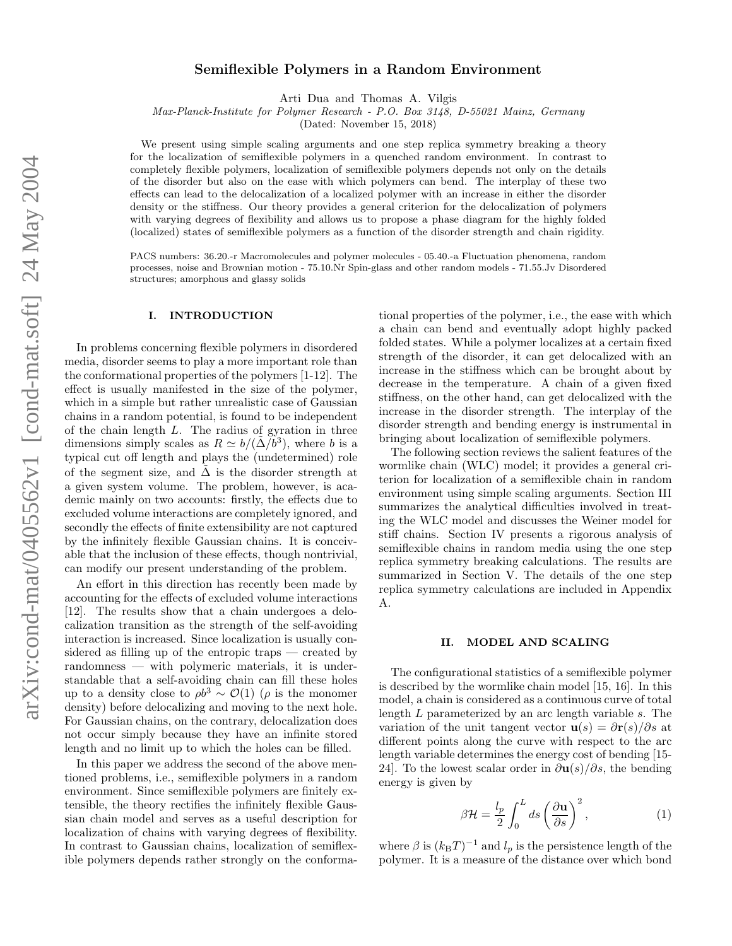# Semiflexible Polymers in a Random Environment

Arti Dua and Thomas A. Vilgis

Max-Planck-Institute for Polymer Research - P.O. Box 3148, D-55021 Mainz, Germany

(Dated: November 15, 2018)

We present using simple scaling arguments and one step replica symmetry breaking a theory for the localization of semiflexible polymers in a quenched random environment. In contrast to completely flexible polymers, localization of semiflexible polymers depends not only on the details of the disorder but also on the ease with which polymers can bend. The interplay of these two effects can lead to the delocalization of a localized polymer with an increase in either the disorder density or the stiffness. Our theory provides a general criterion for the delocalization of polymers with varying degrees of flexibility and allows us to propose a phase diagram for the highly folded (localized) states of semiflexible polymers as a function of the disorder strength and chain rigidity.

PACS numbers: 36.20.-r Macromolecules and polymer molecules - 05.40.-a Fluctuation phenomena, random processes, noise and Brownian motion - 75.10.Nr Spin-glass and other random models - 71.55.Jv Disordered structures; amorphous and glassy solids

## I. INTRODUCTION

In problems concerning flexible polymers in disordered media, disorder seems to play a more important role than the conformational properties of the polymers [1-12]. The effect is usually manifested in the size of the polymer, which in a simple but rather unrealistic case of Gaussian chains in a random potential, is found to be independent of the chain length  $L$ . The radius of gyration in three dimensions simply scales as  $R \simeq b/(\tilde{\Delta}/b^3)$ , where b is a typical cut off length and plays the (undetermined) role of the segment size, and  $\tilde{\Delta}$  is the disorder strength at a given system volume. The problem, however, is academic mainly on two accounts: firstly, the effects due to excluded volume interactions are completely ignored, and secondly the effects of finite extensibility are not captured by the infinitely flexible Gaussian chains. It is conceivable that the inclusion of these effects, though nontrivial, can modify our present understanding of the problem.

An effort in this direction has recently been made by accounting for the effects of excluded volume interactions [12]. The results show that a chain undergoes a delocalization transition as the strength of the self-avoiding interaction is increased. Since localization is usually considered as filling up of the entropic traps — created by randomness — with polymeric materials, it is understandable that a self-avoiding chain can fill these holes up to a density close to  $\rho b^3 \sim \mathcal{O}(1)$  ( $\rho$  is the monomer density) before delocalizing and moving to the next hole. For Gaussian chains, on the contrary, delocalization does not occur simply because they have an infinite stored length and no limit up to which the holes can be filled.

In this paper we address the second of the above mentioned problems, i.e., semiflexible polymers in a random environment. Since semiflexible polymers are finitely extensible, the theory rectifies the infinitely flexible Gaussian chain model and serves as a useful description for localization of chains with varying degrees of flexibility. In contrast to Gaussian chains, localization of semiflexible polymers depends rather strongly on the conforma-

tional properties of the polymer, i.e., the ease with which a chain can bend and eventually adopt highly packed folded states. While a polymer localizes at a certain fixed strength of the disorder, it can get delocalized with an increase in the stiffness which can be brought about by decrease in the temperature. A chain of a given fixed stiffness, on the other hand, can get delocalized with the increase in the disorder strength. The interplay of the disorder strength and bending energy is instrumental in bringing about localization of semiflexible polymers.

The following section reviews the salient features of the wormlike chain (WLC) model; it provides a general criterion for localization of a semiflexible chain in random environment using simple scaling arguments. Section III summarizes the analytical difficulties involved in treating the WLC model and discusses the Weiner model for stiff chains. Section IV presents a rigorous analysis of semiflexible chains in random media using the one step replica symmetry breaking calculations. The results are summarized in Section V. The details of the one step replica symmetry calculations are included in Appendix A.

## II. MODEL AND SCALING

The configurational statistics of a semiflexible polymer is described by the wormlike chain model [15, 16]. In this model, a chain is considered as a continuous curve of total length L parameterized by an arc length variable s. The variation of the unit tangent vector  $\mathbf{u}(s) = \frac{\partial \mathbf{r}(s)}{\partial s}$  at different points along the curve with respect to the arc length variable determines the energy cost of bending [15- 24]. To the lowest scalar order in  $\frac{\partial u(s)}{\partial s}$ , the bending energy is given by

$$
\beta \mathcal{H} = \frac{l_p}{2} \int_0^L ds \left(\frac{\partial \mathbf{u}}{\partial s}\right)^2, \tag{1}
$$

where  $\beta$  is  $(k_BT)^{-1}$  and  $l_p$  is the persistence length of the polymer. It is a measure of the distance over which bond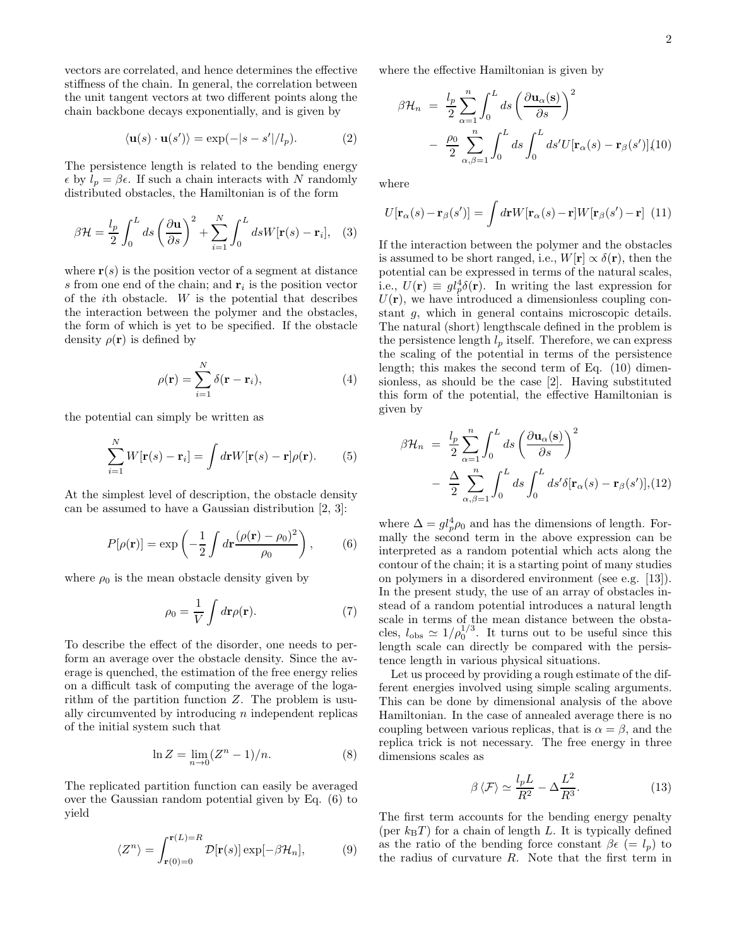vectors are correlated, and hence determines the effective stiffness of the chain. In general, the correlation between the unit tangent vectors at two different points along the chain backbone decays exponentially, and is given by

$$
\langle \mathbf{u}(s) \cdot \mathbf{u}(s') \rangle = \exp(-|s - s'|/l_p). \tag{2}
$$

The persistence length is related to the bending energy  $\epsilon$  by  $l_p = \beta \epsilon$ . If such a chain interacts with N randomly distributed obstacles, the Hamiltonian is of the form

$$
\beta \mathcal{H} = \frac{l_p}{2} \int_0^L ds \left(\frac{\partial \mathbf{u}}{\partial s}\right)^2 + \sum_{i=1}^N \int_0^L ds W[\mathbf{r}(s) - \mathbf{r}_i], \quad (3)
$$

where  $r(s)$  is the position vector of a segment at distance s from one end of the chain; and  $r_i$  is the position vector of the ith obstacle. W is the potential that describes the interaction between the polymer and the obstacles, the form of which is yet to be specified. If the obstacle density  $\rho(\mathbf{r})$  is defined by

$$
\rho(\mathbf{r}) = \sum_{i=1}^{N} \delta(\mathbf{r} - \mathbf{r}_i),
$$
\n(4)

the potential can simply be written as

$$
\sum_{i=1}^{N} W[\mathbf{r}(s) - \mathbf{r}_i] = \int d\mathbf{r} W[\mathbf{r}(s) - \mathbf{r}] \rho(\mathbf{r}). \tag{5}
$$

At the simplest level of description, the obstacle density can be assumed to have a Gaussian distribution [2, 3]:

$$
P[\rho(\mathbf{r})] = \exp\left(-\frac{1}{2}\int d\mathbf{r}\frac{(\rho(\mathbf{r}) - \rho_0)^2}{\rho_0}\right),\qquad(6)
$$

where  $\rho_0$  is the mean obstacle density given by

$$
\rho_0 = \frac{1}{V} \int d\mathbf{r} \rho(\mathbf{r}).\tag{7}
$$

To describe the effect of the disorder, one needs to perform an average over the obstacle density. Since the average is quenched, the estimation of the free energy relies on a difficult task of computing the average of the logarithm of the partition function  $Z$ . The problem is usually circumvented by introducing n independent replicas of the initial system such that

$$
\ln Z = \lim_{n \to 0} (Z^n - 1)/n. \tag{8}
$$

The replicated partition function can easily be averaged over the Gaussian random potential given by Eq. (6) to yield

$$
\langle Z^n \rangle = \int_{\mathbf{r}(0)=0}^{\mathbf{r}(L)=R} \mathcal{D}[\mathbf{r}(s)] \exp[-\beta \mathcal{H}_n],\tag{9}
$$

where the effective Hamiltonian is given by

$$
\beta \mathcal{H}_n = \frac{l_p}{2} \sum_{\alpha=1}^n \int_0^L ds \left( \frac{\partial \mathbf{u}_\alpha(\mathbf{s})}{\partial s} \right)^2
$$

$$
- \frac{\rho_0}{2} \sum_{\alpha,\beta=1}^n \int_0^L ds \int_0^L ds' U[\mathbf{r}_\alpha(s) - \mathbf{r}_\beta(s')] (10)
$$

where

$$
U[\mathbf{r}_{\alpha}(s) - \mathbf{r}_{\beta}(s')] = \int d\mathbf{r} W[\mathbf{r}_{\alpha}(s) - \mathbf{r}] W[\mathbf{r}_{\beta}(s') - \mathbf{r}] \tag{11}
$$

If the interaction between the polymer and the obstacles is assumed to be short ranged, i.e.,  $W[\mathbf{r}] \propto \delta(\mathbf{r})$ , then the potential can be expressed in terms of the natural scales, i.e.,  $U(\mathbf{r}) \equiv gl_p^4 \delta(\mathbf{r})$ . In writing the last expression for  $U(\mathbf{r})$ , we have introduced a dimensionless coupling constant g, which in general contains microscopic details. The natural (short) lengthscale defined in the problem is the persistence length  $l_p$  itself. Therefore, we can express the scaling of the potential in terms of the persistence length; this makes the second term of Eq. (10) dimensionless, as should be the case [2]. Having substituted this form of the potential, the effective Hamiltonian is given by

$$
\beta \mathcal{H}_n = \frac{l_p}{2} \sum_{\alpha=1}^n \int_0^L ds \left( \frac{\partial \mathbf{u}_{\alpha}(\mathbf{s})}{\partial s} \right)^2
$$

$$
- \frac{\Delta}{2} \sum_{\alpha,\beta=1}^n \int_0^L ds \int_0^L ds' \delta[\mathbf{r}_{\alpha}(s) - \mathbf{r}_{\beta}(s')], (12)
$$

where  $\Delta = gl_p^4 \rho_0$  and has the dimensions of length. Formally the second term in the above expression can be interpreted as a random potential which acts along the contour of the chain; it is a starting point of many studies on polymers in a disordered environment (see e.g. [13]). In the present study, the use of an array of obstacles instead of a random potential introduces a natural length scale in terms of the mean distance between the obstacles,  $l_{obs} \simeq 1/\rho_0^{1/3}$ . It turns out to be useful since this length scale can directly be compared with the persistence length in various physical situations.

Let us proceed by providing a rough estimate of the different energies involved using simple scaling arguments. This can be done by dimensional analysis of the above Hamiltonian. In the case of annealed average there is no coupling between various replicas, that is  $\alpha = \beta$ , and the replica trick is not necessary. The free energy in three dimensions scales as

$$
\beta \langle \mathcal{F} \rangle \simeq \frac{l_p L}{R^2} - \Delta \frac{L^2}{R^3}.
$$
\n(13)

The first term accounts for the bending energy penalty (per  $k_BT$ ) for a chain of length L. It is typically defined as the ratio of the bending force constant  $\beta \epsilon (= l_n)$  to the radius of curvature  $R$ . Note that the first term in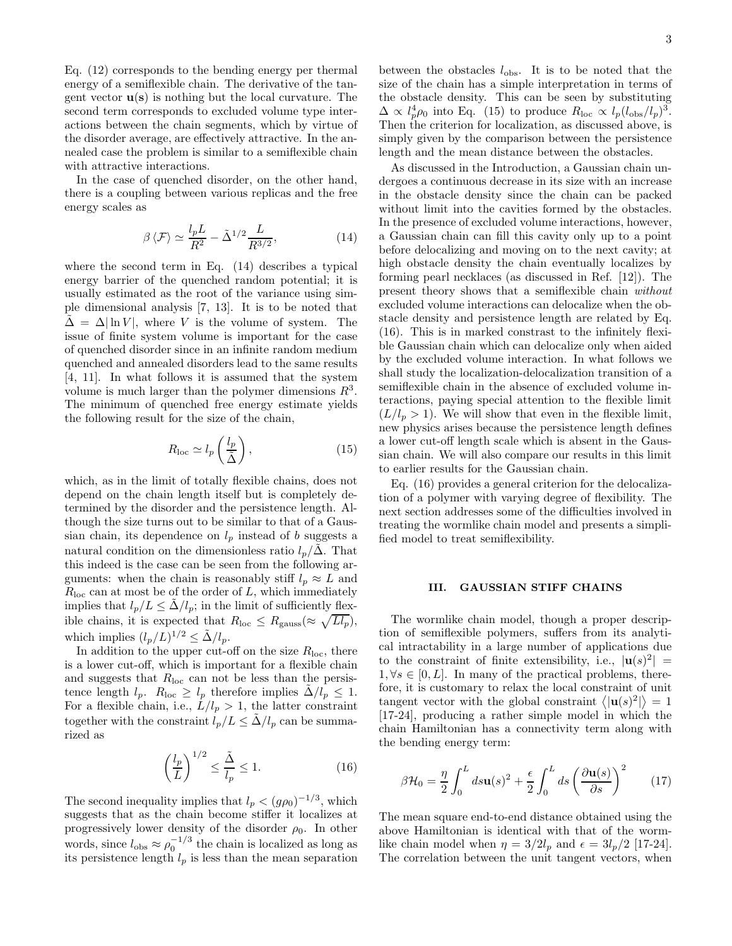Eq. (12) corresponds to the bending energy per thermal energy of a semiflexible chain. The derivative of the tangent vector  $\mathbf{u}(\mathbf{s})$  is nothing but the local curvature. The second term corresponds to excluded volume type interactions between the chain segments, which by virtue of the disorder average, are effectively attractive. In the annealed case the problem is similar to a semiflexible chain with attractive interactions.

In the case of quenched disorder, on the other hand, there is a coupling between various replicas and the free energy scales as

$$
\beta \langle \mathcal{F} \rangle \simeq \frac{l_p L}{R^2} - \tilde{\Delta}^{1/2} \frac{L}{R^{3/2}},\tag{14}
$$

where the second term in Eq. (14) describes a typical energy barrier of the quenched random potential; it is usually estimated as the root of the variance using simple dimensional analysis [7, 13]. It is to be noted that  $\tilde{\Delta} = \Delta |\ln V|$ , where V is the volume of system. The issue of finite system volume is important for the case of quenched disorder since in an infinite random medium quenched and annealed disorders lead to the same results [4, 11]. In what follows it is assumed that the system volume is much larger than the polymer dimensions  $R^3$ . The minimum of quenched free energy estimate yields the following result for the size of the chain,

$$
R_{\rm loc} \simeq l_p \left(\frac{l_p}{\tilde{\Delta}}\right),\tag{15}
$$

which, as in the limit of totally flexible chains, does not depend on the chain length itself but is completely determined by the disorder and the persistence length. Although the size turns out to be similar to that of a Gaussian chain, its dependence on  $l_p$  instead of b suggests a natural condition on the dimensionless ratio  $l_p/\Delta$ . That this indeed is the case can be seen from the following arguments: when the chain is reasonably stiff  $l_p \approx L$  and  $R_{\text{loc}}$  can at most be of the order of L, which immediately implies that  $l_p/L \leq \Delta/l_p$ ; in the limit of sufficiently flexible chains, it is expected that  $R_{\text{loc}} \leq R_{\text{gauss}} (\approx \sqrt{L l_p}),$ which implies  $(l_p/L)^{1/2} \leq \tilde{\Delta}/l_p$ .

In addition to the upper cut-off on the size  $R_{\text{loc}}$ , there is a lower cut-off, which is important for a flexible chain and suggests that  $R_{\text{loc}}$  can not be less than the persistence length  $l_p$ .  $R_{\text{loc}} \geq l_p$  therefore implies  $\Delta/l_p \leq 1$ . For a flexible chain, i.e.,  $L/l_p > 1$ , the latter constraint together with the constraint  $l_p/L \leq \Delta/l_p$  can be summarized as

$$
\left(\frac{l_p}{L}\right)^{1/2} \le \frac{\tilde{\Delta}}{l_p} \le 1.
$$
\n(16)

The second inequality implies that  $l_p < (g\rho_0)^{-1/3}$ , which suggests that as the chain become stiffer it localizes at progressively lower density of the disorder  $\rho_0$ . In other words, since  $l_{obs} \approx \rho_0^{-1/3}$  the chain is localized as long as its persistence length  $l_p$  is less than the mean separation

between the obstacles  $l_{\text{obs}}$ . It is to be noted that the size of the chain has a simple interpretation in terms of the obstacle density. This can be seen by substituting  $\Delta \propto l_p^4 \rho_0$  into Eq. (15) to produce  $R_{\text{loc}} \propto l_p (l_{\text{obs}}/l_p)^3$ . Then the criterion for localization, as discussed above, is simply given by the comparison between the persistence length and the mean distance between the obstacles.

As discussed in the Introduction, a Gaussian chain undergoes a continuous decrease in its size with an increase in the obstacle density since the chain can be packed without limit into the cavities formed by the obstacles. In the presence of excluded volume interactions, however, a Gaussian chain can fill this cavity only up to a point before delocalizing and moving on to the next cavity; at high obstacle density the chain eventually localizes by forming pearl necklaces (as discussed in Ref. [12]). The present theory shows that a semiflexible chain without excluded volume interactions can delocalize when the obstacle density and persistence length are related by Eq. (16). This is in marked constrast to the infinitely flexible Gaussian chain which can delocalize only when aided by the excluded volume interaction. In what follows we shall study the localization-delocalization transition of a semiflexible chain in the absence of excluded volume interactions, paying special attention to the flexible limit  $(L/l_p > 1)$ . We will show that even in the flexible limit, new physics arises because the persistence length defines a lower cut-off length scale which is absent in the Gaussian chain. We will also compare our results in this limit to earlier results for the Gaussian chain.

Eq. (16) provides a general criterion for the delocalization of a polymer with varying degree of flexibility. The next section addresses some of the difficulties involved in treating the wormlike chain model and presents a simplified model to treat semiflexibility.

## III. GAUSSIAN STIFF CHAINS

The wormlike chain model, though a proper description of semiflexible polymers, suffers from its analytical intractability in a large number of applications due to the constraint of finite extensibility, i.e.,  $|\mathbf{u}(s)|^2$  =  $1, \forall s \in [0, L]$ . In many of the practical problems, therefore, it is customary to relax the local constraint of unit tangent vector with the global constraint  $\langle |{\bf u}(s)|^2 \rangle = 1$ [17-24], producing a rather simple model in which the chain Hamiltonian has a connectivity term along with the bending energy term:

$$
\beta \mathcal{H}_0 = \frac{\eta}{2} \int_0^L ds \mathbf{u}(s)^2 + \frac{\epsilon}{2} \int_0^L ds \left(\frac{\partial \mathbf{u}(s)}{\partial s}\right)^2 \tag{17}
$$

The mean square end-to-end distance obtained using the above Hamiltonian is identical with that of the wormlike chain model when  $\eta = 3/2l_p$  and  $\epsilon = 3l_p/2$  [17-24]. The correlation between the unit tangent vectors, when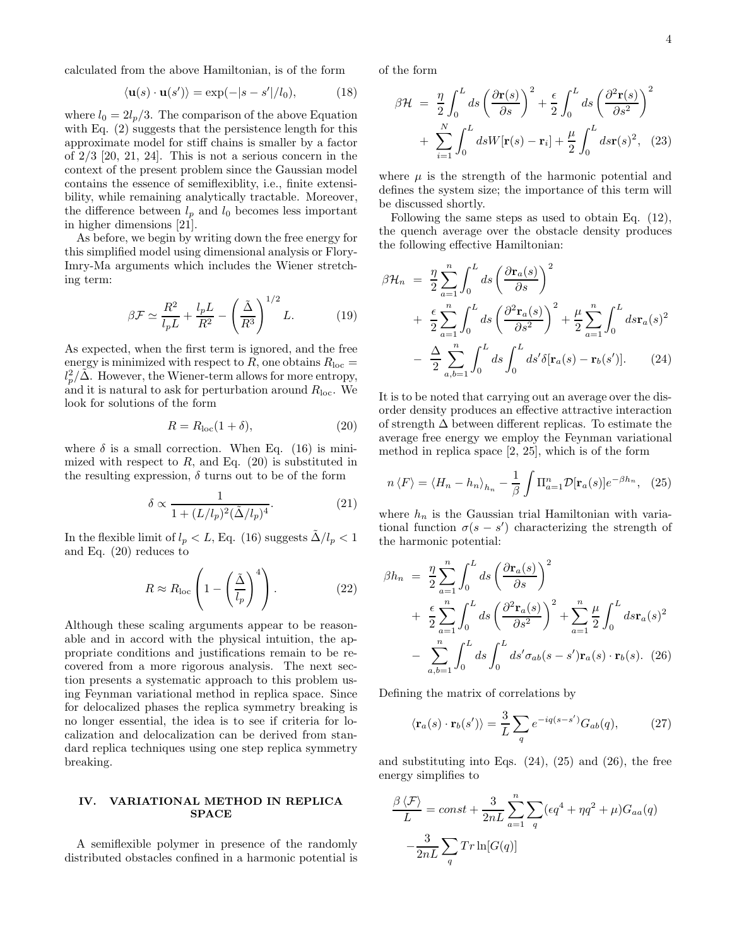calculated from the above Hamiltonian, is of the form

$$
\langle \mathbf{u}(s) \cdot \mathbf{u}(s') \rangle = \exp(-|s - s'|/l_0), \quad (18)
$$

where  $l_0 = 2l_p/3$ . The comparison of the above Equation with Eq.  $(2)$  suggests that the persistence length for this approximate model for stiff chains is smaller by a factor of  $2/3$  [20, 21, 24]. This is not a serious concern in the context of the present problem since the Gaussian model contains the essence of semiflexiblity, i.e., finite extensibility, while remaining analytically tractable. Moreover, the difference between  $l_p$  and  $l_0$  becomes less important in higher dimensions [21].

As before, we begin by writing down the free energy for this simplified model using dimensional analysis or Flory-Imry-Ma arguments which includes the Wiener stretching term:

$$
\beta \mathcal{F} \simeq \frac{R^2}{l_p L} + \frac{l_p L}{R^2} - \left(\frac{\tilde{\Delta}}{R^3}\right)^{1/2} L. \tag{19}
$$

As expected, when the first term is ignored, and the free energy is minimized with respect to R, one obtains  $R_{\text{loc}} =$  $l_p^2/\tilde{\Delta}$ . However, the Wiener-term allows for more entropy, and it is natural to ask for perturbation around  $R_{\text{loc}}$ . We look for solutions of the form

$$
R = R_{\rm loc}(1+\delta),\tag{20}
$$

where  $\delta$  is a small correction. When Eq. (16) is minimized with respect to  $R$ , and Eq. (20) is substituted in the resulting expression,  $\delta$  turns out to be of the form

$$
\delta \propto \frac{1}{1 + (L/l_p)^2 (\tilde{\Delta}/l_p)^4}.
$$
\n(21)

In the flexible limit of  $l_p < L$ , Eq. (16) suggests  $\Delta/l_p < 1$ and Eq. (20) reduces to

$$
R \approx R_{\rm loc} \left( 1 - \left( \frac{\tilde{\Delta}}{l_p} \right)^4 \right). \tag{22}
$$

Although these scaling arguments appear to be reasonable and in accord with the physical intuition, the appropriate conditions and justifications remain to be recovered from a more rigorous analysis. The next section presents a systematic approach to this problem using Feynman variational method in replica space. Since for delocalized phases the replica symmetry breaking is no longer essential, the idea is to see if criteria for localization and delocalization can be derived from standard replica techniques using one step replica symmetry breaking.

## IV. VARIATIONAL METHOD IN REPLICA SPACE

A semiflexible polymer in presence of the randomly distributed obstacles confined in a harmonic potential is of the form

$$
\beta \mathcal{H} = \frac{\eta}{2} \int_0^L ds \left( \frac{\partial \mathbf{r}(s)}{\partial s} \right)^2 + \frac{\epsilon}{2} \int_0^L ds \left( \frac{\partial^2 \mathbf{r}(s)}{\partial s^2} \right)^2
$$

$$
+ \sum_{i=1}^N \int_0^L ds W[\mathbf{r}(s) - \mathbf{r}_i] + \frac{\mu}{2} \int_0^L ds \mathbf{r}(s)^2, \quad (23)
$$

where  $\mu$  is the strength of the harmonic potential and defines the system size; the importance of this term will be discussed shortly.

Following the same steps as used to obtain Eq. (12), the quench average over the obstacle density produces the following effective Hamiltonian:

$$
\beta \mathcal{H}_n = \frac{\eta}{2} \sum_{a=1}^n \int_0^L ds \left( \frac{\partial \mathbf{r}_a(s)}{\partial s} \right)^2
$$
  
+ 
$$
\frac{\epsilon}{2} \sum_{a=1}^n \int_0^L ds \left( \frac{\partial^2 \mathbf{r}_a(s)}{\partial s^2} \right)^2 + \frac{\mu}{2} \sum_{a=1}^n \int_0^L ds \mathbf{r}_a(s)^2
$$
  
- 
$$
\frac{\Delta}{2} \sum_{a,b=1}^n \int_0^L ds \int_0^L ds' \delta[\mathbf{r}_a(s) - \mathbf{r}_b(s')].
$$
 (24)

It is to be noted that carrying out an average over the disorder density produces an effective attractive interaction of strength ∆ between different replicas. To estimate the average free energy we employ the Feynman variational method in replica space [2, 25], which is of the form

$$
n \langle F \rangle = \langle H_n - h_n \rangle_{h_n} - \frac{1}{\beta} \int \Pi_{a=1}^n \mathcal{D}[\mathbf{r}_a(s)] e^{-\beta h_n}, \quad (25)
$$

where  $h_n$  is the Gaussian trial Hamiltonian with variational function  $\sigma(s-s')$  characterizing the strength of the harmonic potential:

$$
\beta h_n = \frac{\eta}{2} \sum_{a=1}^n \int_0^L ds \left( \frac{\partial \mathbf{r}_a(s)}{\partial s} \right)^2
$$
  
+ 
$$
\frac{\epsilon}{2} \sum_{a=1}^n \int_0^L ds \left( \frac{\partial^2 \mathbf{r}_a(s)}{\partial s^2} \right)^2 + \sum_{a=1}^n \frac{\mu}{2} \int_0^L ds \mathbf{r}_a(s)^2
$$
  
- 
$$
\sum_{a,b=1}^n \int_0^L ds \int_0^L ds' \sigma_{ab}(s-s') \mathbf{r}_a(s) \cdot \mathbf{r}_b(s). (26)
$$

Defining the matrix of correlations by

$$
\langle \mathbf{r}_a(s) \cdot \mathbf{r}_b(s') \rangle = \frac{3}{L} \sum_q e^{-iq(s-s')} G_{ab}(q), \tag{27}
$$

and substituting into Eqs.  $(24)$ ,  $(25)$  and  $(26)$ , the free energy simplifies to

$$
\frac{\beta \langle \mathcal{F} \rangle}{L} = const + \frac{3}{2nL} \sum_{a=1}^{n} \sum_{q} (\epsilon q^4 + \eta q^2 + \mu) G_{aa}(q)
$$

$$
-\frac{3}{2nL} \sum_{q} Tr \ln[G(q)]
$$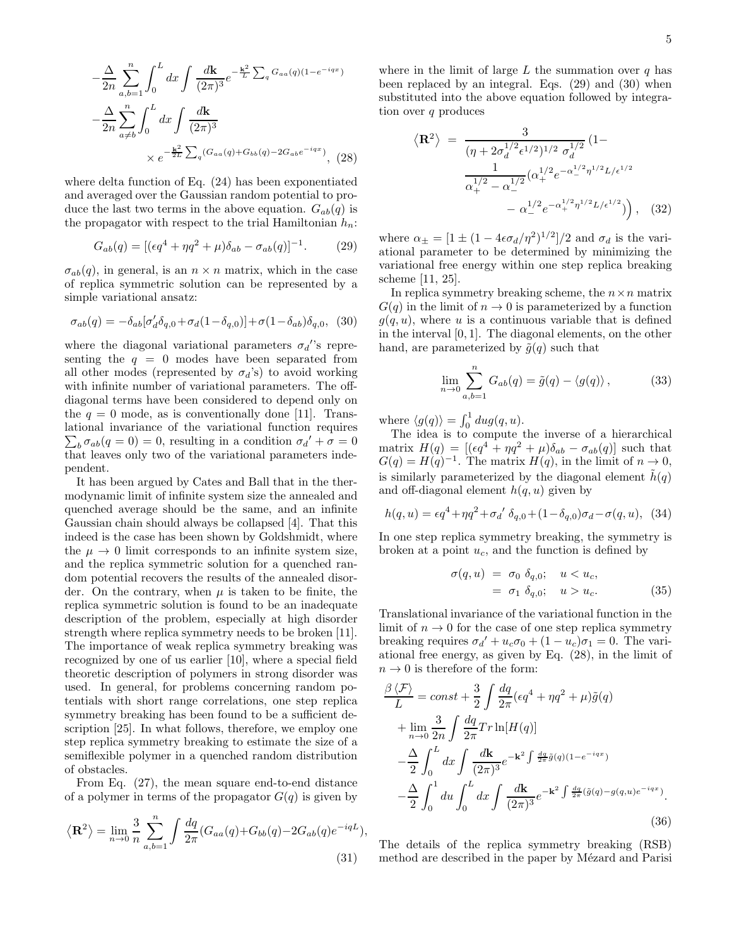$$
-\frac{\Delta}{2n} \sum_{a,b=1}^{n} \int_{0}^{L} dx \int \frac{d\mathbf{k}}{(2\pi)^{3}} e^{-\frac{\mathbf{k}^{2}}{L} \sum_{q} G_{aa}(q)(1-e^{-iqx})}
$$

$$
-\frac{\Delta}{2n} \sum_{a \neq b}^{n} \int_{0}^{L} dx \int \frac{d\mathbf{k}}{(2\pi)^{3}}
$$

$$
\times e^{-\frac{\mathbf{k}^{2}}{2L} \sum_{q} (G_{aa}(q) + G_{bb}(q) - 2G_{ab}e^{-iqx})}, (28)
$$

where delta function of Eq. (24) has been exponentiated and averaged over the Gaussian random potential to produce the last two terms in the above equation.  $G_{ab}(q)$  is the propagator with respect to the trial Hamiltonian  $h_n$ :

$$
G_{ab}(q) = [(\epsilon q^4 + \eta q^2 + \mu)\delta_{ab} - \sigma_{ab}(q)]^{-1}.
$$
 (29)

 $\sigma_{ab}(q)$ , in general, is an  $n \times n$  matrix, which in the case of replica symmetric solution can be represented by a simple variational ansatz:

$$
\sigma_{ab}(q) = -\delta_{ab} [\sigma'_d \delta_{q,0} + \sigma_d (1 - \delta_{q,0})] + \sigma (1 - \delta_{ab}) \delta_{q,0}, \quad (30)
$$

where the diagonal variational parameters  $\sigma_d$ ''s representing the  $q = 0$  modes have been separated from all other modes (represented by  $\sigma_d$ 's) to avoid working with infinite number of variational parameters. The offdiagonal terms have been considered to depend only on the  $q = 0$  mode, as is conventionally done [11]. Translational invariance of the variational function requires  $\sum_b \sigma_{ab}(q=0) = 0$ , resulting in a condition  $\sigma_{a'} + \sigma = 0$ that leaves only two of the variational parameters independent.

It has been argued by Cates and Ball that in the thermodynamic limit of infinite system size the annealed and quenched average should be the same, and an infinite Gaussian chain should always be collapsed [4]. That this indeed is the case has been shown by Goldshmidt, where the  $\mu \rightarrow 0$  limit corresponds to an infinite system size, and the replica symmetric solution for a quenched random potential recovers the results of the annealed disorder. On the contrary, when  $\mu$  is taken to be finite, the replica symmetric solution is found to be an inadequate description of the problem, especially at high disorder strength where replica symmetry needs to be broken [11]. The importance of weak replica symmetry breaking was recognized by one of us earlier [10], where a special field theoretic description of polymers in strong disorder was used. In general, for problems concerning random potentials with short range correlations, one step replica symmetry breaking has been found to be a sufficient description [25]. In what follows, therefore, we employ one step replica symmetry breaking to estimate the size of a semiflexible polymer in a quenched random distribution of obstacles.

From Eq. (27), the mean square end-to-end distance of a polymer in terms of the propagator  $G(q)$  is given by

$$
\langle \mathbf{R}^2 \rangle = \lim_{n \to 0} \frac{3}{n} \sum_{a,b=1}^n \int \frac{dq}{2\pi} (G_{aa}(q) + G_{bb}(q) - 2G_{ab}(q)e^{-iqL}),
$$
\n(31)

where in the limit of large  $L$  the summation over  $q$  has been replaced by an integral. Eqs. (29) and (30) when substituted into the above equation followed by integration over  $q$  produces

$$
\langle \mathbf{R}^2 \rangle = \frac{3}{(\eta + 2\sigma_d^{1/2} \epsilon^{1/2})^{1/2} \sigma_d^{1/2}} (1 - \frac{1}{\alpha_+^{1/2} - \alpha_-^{1/2}} (\alpha_+^{1/2} e^{-\alpha_-^{1/2} \eta^{1/2} L/\epsilon^{1/2}} - \alpha_-^{1/2} e^{-\alpha_+^{1/2} \eta^{1/2} L/\epsilon^{1/2}}) \Big), \quad (32)
$$

where  $\alpha_{\pm} = [1 \pm (1 - 4\epsilon \sigma_d/\eta^2)^{1/2}]/2$  and  $\sigma_d$  is the variational parameter to be determined by minimizing the variational free energy within one step replica breaking scheme [11, 25].

In replica symmetry breaking scheme, the  $n \times n$  matrix  $G(q)$  in the limit of  $n \to 0$  is parameterized by a function  $g(q, u)$ , where u is a continuous variable that is defined in the interval [0, 1]. The diagonal elements, on the other hand, are parameterized by  $\tilde{g}(q)$  such that

$$
\lim_{n \to 0} \sum_{a,b=1}^{n} G_{ab}(q) = \tilde{g}(q) - \langle g(q) \rangle, \qquad (33)
$$

where  $\langle g(q) \rangle = \int_0^1 du g(q, u)$ .

The idea is to compute the inverse of a hierarchical matrix  $H(q) = [(\epsilon q^4 + \eta q^2 + \mu)\delta_{ab} - \sigma_{ab}(q)]$  such that  $G(q) = H(q)^{-1}$ . The matrix  $H(q)$ , in the limit of  $n \to 0$ , is similarly parameterized by the diagonal element  $\hat{h}(q)$ and off-diagonal element  $h(q, u)$  given by

$$
h(q, u) = \epsilon q^4 + \eta q^2 + \sigma_d' \, \delta_{q,0} + (1 - \delta_{q,0}) \sigma_d - \sigma(q, u), \tag{34}
$$

In one step replica symmetry breaking, the symmetry is broken at a point  $u_c$ , and the function is defined by

$$
\sigma(q, u) = \sigma_0 \, \delta_{q,0}; \quad u < u_c,
$$
\n
$$
= \sigma_1 \, \delta_{q,0}; \quad u > u_c.
$$
\n
$$
(35)
$$

Translational invariance of the variational function in the limit of  $n \to 0$  for the case of one step replica symmetry breaking requires  $\sigma_d' + u_c \sigma_0 + (1 - u_c) \sigma_1 = 0$ . The variational free energy, as given by Eq. (28), in the limit of  $n \to 0$  is therefore of the form:

$$
\frac{\beta \langle \mathcal{F} \rangle}{L} = const + \frac{3}{2} \int \frac{dq}{2\pi} (\epsilon q^4 + \eta q^2 + \mu) \tilde{g}(q)
$$
  
+ 
$$
\lim_{n \to 0} \frac{3}{2n} \int \frac{dq}{2\pi} Tr \ln[H(q)]
$$
  
- 
$$
\frac{\Delta}{2} \int_0^L dx \int \frac{d\mathbf{k}}{(2\pi)^3} e^{-\mathbf{k}^2 \int \frac{dq}{2\pi} \tilde{g}(q)(1 - e^{-iqx})}
$$
  
- 
$$
\frac{\Delta}{2} \int_0^1 du \int_0^L dx \int \frac{d\mathbf{k}}{(2\pi)^3} e^{-\mathbf{k}^2 \int \frac{dq}{2\pi} (\tilde{g}(q) - g(q, u) e^{-iqx})}.
$$
(36)

The details of the replica symmetry breaking (RSB) method are described in the paper by Mézard and Parisi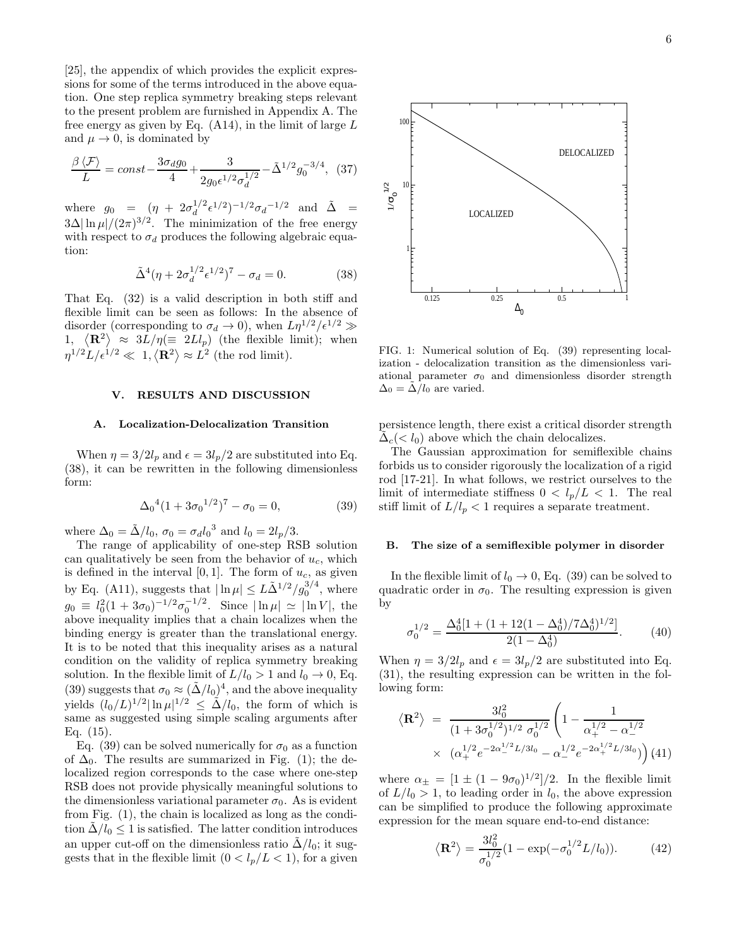[25], the appendix of which provides the explicit expressions for some of the terms introduced in the above equation. One step replica symmetry breaking steps relevant to the present problem are furnished in Appendix A. The free energy as given by Eq.  $(A14)$ , in the limit of large L and  $\mu \to 0$ , is dominated by

$$
\frac{\beta \langle \mathcal{F} \rangle}{L} = const - \frac{3\sigma_d g_0}{4} + \frac{3}{2g_0 \epsilon^{1/2} \sigma_d^{1/2}} - \tilde{\Delta}^{1/2} g_0^{-3/4}, \tag{37}
$$

where  $g_0 = (\eta + 2\sigma_d^{1/2})$  $\tilde{A}^{1/2} \epsilon^{1/2}$ )<sup>-1/2</sup> $\sigma_d$ <sup>-1/2</sup> and  $\tilde{\Delta}$  =  $3\Delta |\ln \mu|/(2\pi)^{3/2}$ . The minimization of the free energy with respect to  $\sigma_d$  produces the following algebraic equation:

$$
\tilde{\Delta}^4(\eta + 2\sigma_d^{1/2} \epsilon^{1/2})^7 - \sigma_d = 0.
$$
 (38)

That Eq. (32) is a valid description in both stiff and flexible limit can be seen as follows: In the absence of disorder (corresponding to  $\sigma_d \to 0$ ), when  $L\eta^{1/2}/\epsilon^{1/2} \gg$ 1,  $\langle \mathbf{R}^2 \rangle \approx 3L/\eta (\equiv 2Ll_p)$  (the flexible limit); when  $\eta^{1/2}L/\epsilon^{1/2} \ll 1, \langle \mathbf{R}^2 \rangle \approx L^2$  (the rod limit).

# V. RESULTS AND DISCUSSION

#### A. Localization-Delocalization Transition

When  $\eta = 3/2l_p$  and  $\epsilon = 3l_p/2$  are substituted into Eq. (38), it can be rewritten in the following dimensionless form:

$$
\Delta_0^4 (1 + 3\sigma_0^{1/2})^7 - \sigma_0 = 0, \tag{39}
$$

where  $\Delta_0 = \tilde{\Delta}/l_0$ ,  $\sigma_0 = \sigma_d l_0^3$  and  $l_0 = 2l_p/3$ .

The range of applicability of one-step RSB solution can qualitatively be seen from the behavior of  $u_c$ , which is defined in the interval  $[0, 1]$ . The form of  $u_c$ , as given by Eq. (A11), suggests that  $|\ln \mu| \le L\tilde{\Delta}^{1/2}/g_0^{3/4}$ , where  $g_0 \equiv l_0^2(1 + 3\sigma_0)^{-1/2}\sigma_0^{-1/2}$ . Since  $|\ln \mu| \simeq |\ln V|$ , the above inequality implies that a chain localizes when the binding energy is greater than the translational energy. It is to be noted that this inequality arises as a natural condition on the validity of replica symmetry breaking solution. In the flexible limit of  $L/l_0 > 1$  and  $l_0 \rightarrow 0$ , Eq. (39) suggests that  $\sigma_0 \approx (\tilde{\Delta}/l_0)^4$ , and the above inequality yields  $(l_0/L)^{1/2} |\ln \mu|^{1/2} \leq \tilde{\Delta}/l_0$ , the form of which is same as suggested using simple scaling arguments after Eq. (15).

Eq. (39) can be solved numerically for  $\sigma_0$  as a function of  $\Delta_0$ . The results are summarized in Fig. (1); the delocalized region corresponds to the case where one-step RSB does not provide physically meaningful solutions to the dimensionless variational parameter  $\sigma_0$ . As is evident from Fig. (1), the chain is localized as long as the condition  $\Delta/l_0 \leq 1$  is satisfied. The latter condition introduces an upper cut-off on the dimensionless ratio  $\Delta/l_0$ ; it suggests that in the flexible limit  $(0 < l_p/L < 1)$ , for a given



FIG. 1: Numerical solution of Eq. (39) representing localization - delocalization transition as the dimensionless variational parameter  $\sigma_0$  and dimensionless disorder strength  $\Delta_0 = \Delta / l_0$  are varied.

persistence length, there exist a critical disorder strength  $\tilde{\Delta}_c$  (<  $l_0$ ) above which the chain delocalizes.

The Gaussian approximation for semiflexible chains forbids us to consider rigorously the localization of a rigid rod [17-21]. In what follows, we restrict ourselves to the limit of intermediate stiffness  $0 < l_p/L < 1$ . The real stiff limit of  $L/l_p < 1$  requires a separate treatment.

# B. The size of a semiflexible polymer in disorder

In the flexible limit of  $l_0 \rightarrow 0$ , Eq. (39) can be solved to quadratic order in  $\sigma_0$ . The resulting expression is given by

$$
\sigma_0^{1/2} = \frac{\Delta_0^4 [1 + (1 + 12(1 - \Delta_0^4)/7\Delta_0^4)^{1/2}]}{2(1 - \Delta_0^4)}.
$$
 (40)

When  $\eta = 3/2l_p$  and  $\epsilon = 3l_p/2$  are substituted into Eq. (31), the resulting expression can be written in the following form:

$$
\langle \mathbf{R}^2 \rangle = \frac{3l_0^2}{(1 + 3\sigma_0^{1/2})^{1/2} \sigma_0^{1/2}} \left( 1 - \frac{1}{\alpha_+^{1/2} - \alpha_-^{1/2}} \times \frac{( \alpha_+^{1/2} e^{-2\alpha_-^{1/2} L/3l_0} - \alpha_-^{1/2} e^{-2\alpha_+^{1/2} L/3l_0})}{\alpha_-^{1/2} e^{-2\alpha_+^{1/2} L/3l_0}} \right)
$$
(41)

where  $\alpha_{\pm} = [1 \pm (1 - 9\sigma_0)^{1/2}]/2$ . In the flexible limit of  $L/l_0 > 1$ , to leading order in  $l_0$ , the above expression can be simplified to produce the following approximate expression for the mean square end-to-end distance:

$$
\langle \mathbf{R}^2 \rangle = \frac{3l_0^2}{\sigma_0^{1/2}} (1 - \exp(-\sigma_0^{1/2} L/l_0)). \tag{42}
$$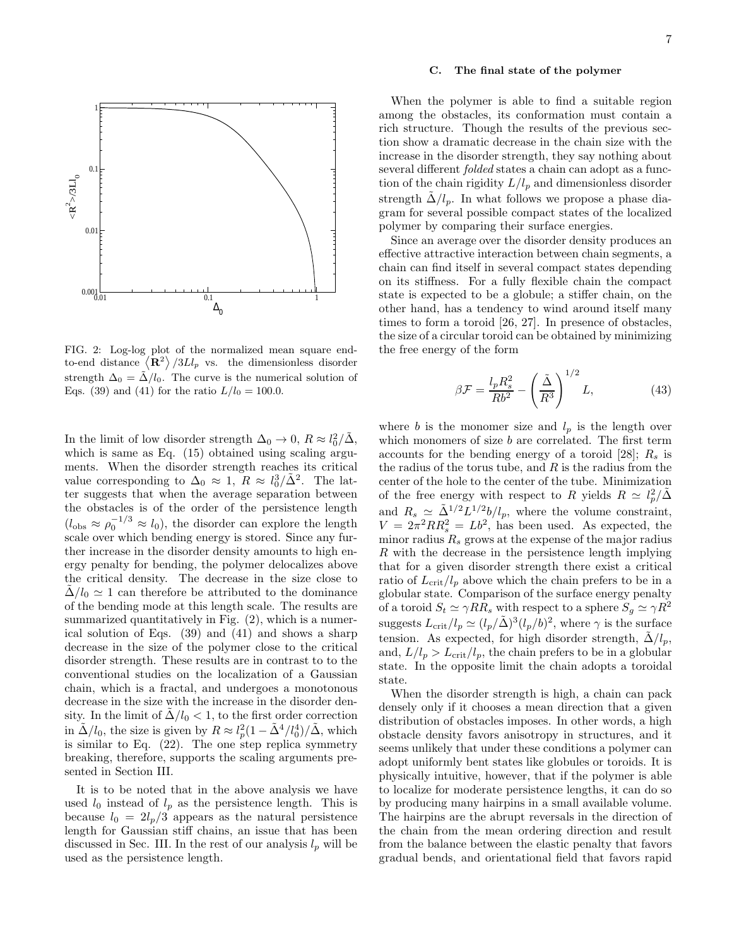

FIG. 2: Log-log plot of the normalized mean square endto-end distance  $\langle \mathbf{R}^2 \rangle /3Ll_p$  vs. the dimensionless disorder strength  $\Delta_0 = \tilde{\Delta}/l_0$ . The curve is the numerical solution of Eqs. (39) and (41) for the ratio  $L/l_0 = 100.0$ .

In the limit of low disorder strength  $\Delta_0 \to 0$ ,  $R \approx l_0^2/\tilde{\Delta}$ , which is same as Eq. (15) obtained using scaling arguments. When the disorder strength reaches its critical value corresponding to  $\Delta_0 \approx 1$ ,  $R \approx l_0^3/\tilde{\Delta}^2$ . The latter suggests that when the average separation between the obstacles is of the order of the persistence length  $(l_{obs} \approx \rho_0^{-1/3} \approx l_0)$ , the disorder can explore the length scale over which bending energy is stored. Since any further increase in the disorder density amounts to high energy penalty for bending, the polymer delocalizes above the critical density. The decrease in the size close to  $\Delta/l_0 \simeq 1$  can therefore be attributed to the dominance of the bending mode at this length scale. The results are summarized quantitatively in Fig. (2), which is a numerical solution of Eqs. (39) and (41) and shows a sharp decrease in the size of the polymer close to the critical disorder strength. These results are in contrast to to the conventional studies on the localization of a Gaussian chain, which is a fractal, and undergoes a monotonous decrease in the size with the increase in the disorder density. In the limit of  $\Delta/l_0 < 1$ , to the first order correction in  $\tilde{\Delta}/l_0$ , the size is given by  $R \approx l_p^2(1 - \tilde{\Delta}^4/l_0^4)/\tilde{\Delta}$ , which is similar to Eq. (22). The one step replica symmetry breaking, therefore, supports the scaling arguments presented in Section III.

It is to be noted that in the above analysis we have used  $l_0$  instead of  $l_p$  as the persistence length. This is because  $l_0 = 2l_p/3$  appears as the natural persistence length for Gaussian stiff chains, an issue that has been discussed in Sec. III. In the rest of our analysis  $l_p$  will be used as the persistence length.

### C. The final state of the polymer

When the polymer is able to find a suitable region among the obstacles, its conformation must contain a rich structure. Though the results of the previous section show a dramatic decrease in the chain size with the increase in the disorder strength, they say nothing about several different folded states a chain can adopt as a function of the chain rigidity  $L/l_p$  and dimensionless disorder strength  $\Delta/l_p$ . In what follows we propose a phase diagram for several possible compact states of the localized polymer by comparing their surface energies.

Since an average over the disorder density produces an effective attractive interaction between chain segments, a chain can find itself in several compact states depending on its stiffness. For a fully flexible chain the compact state is expected to be a globule; a stiffer chain, on the other hand, has a tendency to wind around itself many times to form a toroid [26, 27]. In presence of obstacles, the size of a circular toroid can be obtained by minimizing the free energy of the form

$$
\beta \mathcal{F} = \frac{l_p R_s^2}{R b^2} - \left(\frac{\tilde{\Delta}}{R^3}\right)^{1/2} L,\tag{43}
$$

where b is the monomer size and  $l_p$  is the length over which monomers of size  $b$  are correlated. The first term accounts for the bending energy of a toroid [28];  $R_s$  is the radius of the torus tube, and  $R$  is the radius from the center of the hole to the center of the tube. Minimization of the free energy with respect to R yields  $R \simeq l_p^2/\tilde{\Delta}$ and  $R_s \simeq \tilde{\Delta}^{1/2} L^{1/2} b / l_p$ , where the volume constraint,  $V = 2\pi^2 RR_s^2 = Lb^2$ , has been used. As expected, the minor radius  $R<sub>s</sub>$  grows at the expense of the major radius R with the decrease in the persistence length implying that for a given disorder strength there exist a critical ratio of  $L_{\rm crit}/l_p$  above which the chain prefers to be in a globular state. Comparison of the surface energy penalty of a toroid  $S_t \simeq \gamma RR_s$  with respect to a sphere  $S_g \simeq \gamma R^2$ suggests  $L_{\rm crit}/l_p \simeq (l_p/\tilde{\Delta})^3 (l_p/b)^2$ , where  $\gamma$  is the surface tension. As expected, for high disorder strength,  $\tilde{\Delta}/l_p$ , and,  $L/l_p > L_{\rm crit}/l_p$ , the chain prefers to be in a globular state. In the opposite limit the chain adopts a toroidal state.

When the disorder strength is high, a chain can pack densely only if it chooses a mean direction that a given distribution of obstacles imposes. In other words, a high obstacle density favors anisotropy in structures, and it seems unlikely that under these conditions a polymer can adopt uniformly bent states like globules or toroids. It is physically intuitive, however, that if the polymer is able to localize for moderate persistence lengths, it can do so by producing many hairpins in a small available volume. The hairpins are the abrupt reversals in the direction of the chain from the mean ordering direction and result from the balance between the elastic penalty that favors gradual bends, and orientational field that favors rapid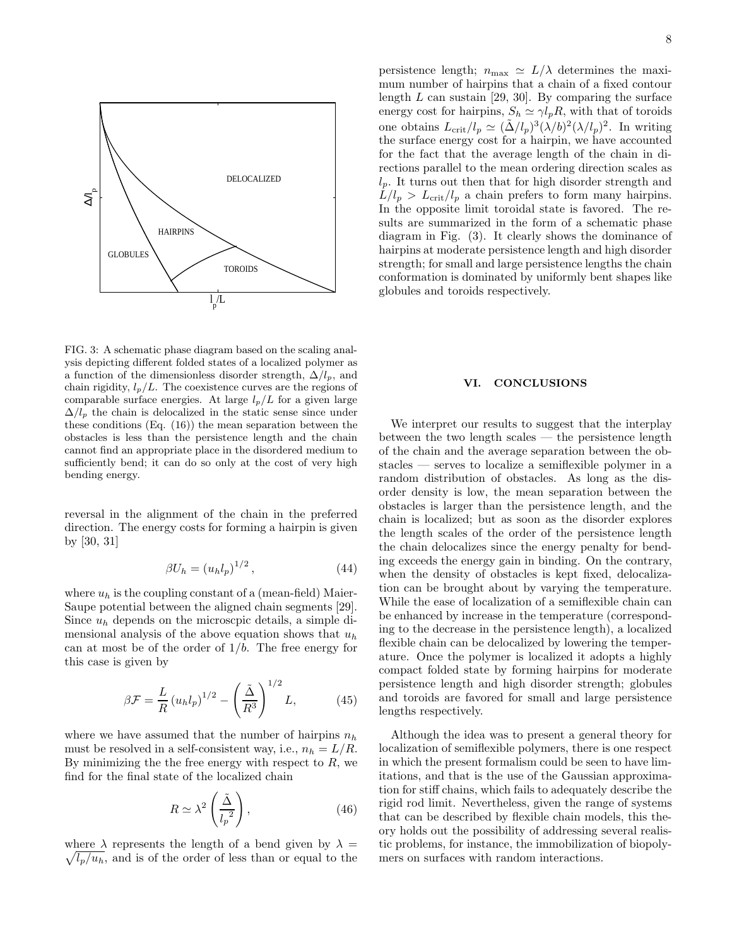

FIG. 3: A schematic phase diagram based on the scaling analysis depicting different folded states of a localized polymer as a function of the dimensionless disorder strength,  $\Delta/l_p$ , and chain rigidity,  $l_p/L$ . The coexistence curves are the regions of comparable surface energies. At large  $l_p/L$  for a given large  $\Delta/l_p$  the chain is delocalized in the static sense since under these conditions (Eq. (16)) the mean separation between the obstacles is less than the persistence length and the chain cannot find an appropriate place in the disordered medium to sufficiently bend; it can do so only at the cost of very high bending energy.

reversal in the alignment of the chain in the preferred direction. The energy costs for forming a hairpin is given by [30, 31]

$$
\beta U_h = \left(u_h l_p\right)^{1/2},\tag{44}
$$

where  $u_h$  is the coupling constant of a (mean-field) Maier-Saupe potential between the aligned chain segments [29]. Since  $u_h$  depends on the microscpic details, a simple dimensional analysis of the above equation shows that  $u_h$ can at most be of the order of  $1/b$ . The free energy for this case is given by

$$
\beta \mathcal{F} = \frac{L}{R} \left( u_h l_p \right)^{1/2} - \left( \frac{\tilde{\Delta}}{R^3} \right)^{1/2} L, \tag{45}
$$

where we have assumed that the number of hairpins  $n_h$ must be resolved in a self-consistent way, i.e.,  $n_h = L/R$ . By minimizing the the free energy with respect to  $R$ , we find for the final state of the localized chain

$$
R \simeq \lambda^2 \left(\frac{\tilde{\Delta}}{l_p^2}\right),\tag{46}
$$

 $\sqrt{l_p/u_h}$ , and is of the order of less than or equal to the where  $\lambda$  represents the length of a bend given by  $\lambda =$ 

persistence length;  $n_{\text{max}} \simeq L/\lambda$  determines the maximum number of hairpins that a chain of a fixed contour length  $L$  can sustain [29, 30]. By comparing the surface energy cost for hairpins,  $S_h \simeq \gamma l_p R$ , with that of toroids one obtains  $L_{\rm crit}/l_p \simeq (\tilde{\Delta}/l_p)^3 (\lambda/b)^2 (\lambda/l_p)^2$ . In writing the surface energy cost for a hairpin, we have accounted for the fact that the average length of the chain in directions parallel to the mean ordering direction scales as  $l_p$ . It turns out then that for high disorder strength and  $L/l_p > L_{\rm crit}/l_p$  a chain prefers to form many hairpins. In the opposite limit toroidal state is favored. The results are summarized in the form of a schematic phase diagram in Fig. (3). It clearly shows the dominance of hairpins at moderate persistence length and high disorder strength; for small and large persistence lengths the chain conformation is dominated by uniformly bent shapes like globules and toroids respectively.

#### VI. CONCLUSIONS

We interpret our results to suggest that the interplay between the two length scales — the persistence length of the chain and the average separation between the obstacles — serves to localize a semiflexible polymer in a random distribution of obstacles. As long as the disorder density is low, the mean separation between the obstacles is larger than the persistence length, and the chain is localized; but as soon as the disorder explores the length scales of the order of the persistence length the chain delocalizes since the energy penalty for bending exceeds the energy gain in binding. On the contrary, when the density of obstacles is kept fixed, delocalization can be brought about by varying the temperature. While the ease of localization of a semiflexible chain can be enhanced by increase in the temperature (corresponding to the decrease in the persistence length), a localized flexible chain can be delocalized by lowering the temperature. Once the polymer is localized it adopts a highly compact folded state by forming hairpins for moderate persistence length and high disorder strength; globules and toroids are favored for small and large persistence lengths respectively.

Although the idea was to present a general theory for localization of semiflexible polymers, there is one respect in which the present formalism could be seen to have limitations, and that is the use of the Gaussian approximation for stiff chains, which fails to adequately describe the rigid rod limit. Nevertheless, given the range of systems that can be described by flexible chain models, this theory holds out the possibility of addressing several realistic problems, for instance, the immobilization of biopolymers on surfaces with random interactions.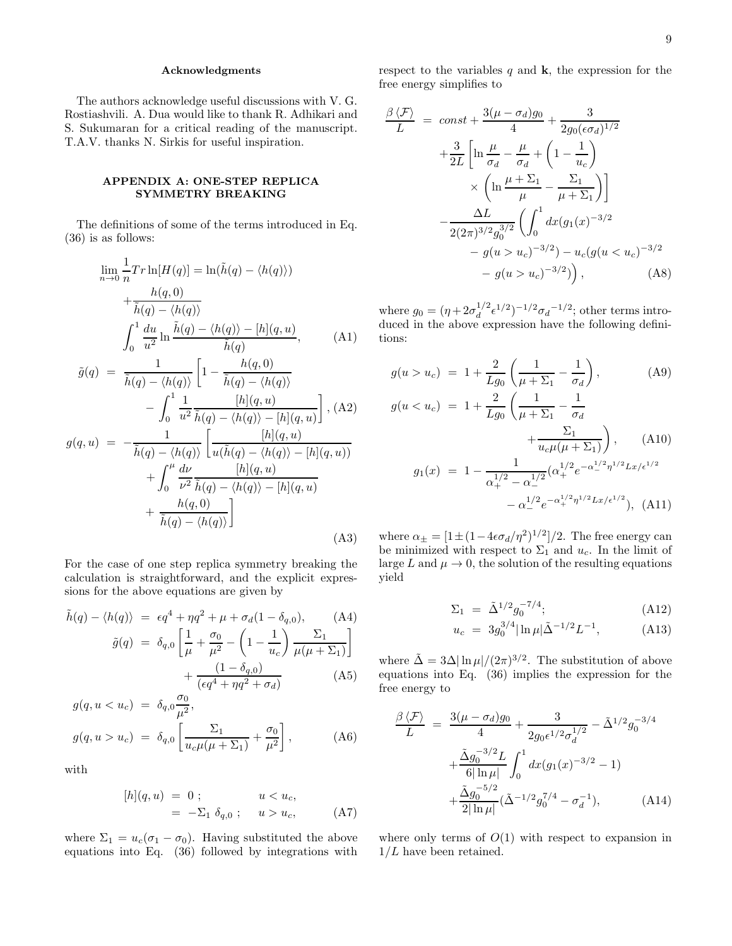# Acknowledgments

The authors acknowledge useful discussions with V. G. Rostiashvili. A. Dua would like to thank R. Adhikari and S. Sukumaran for a critical reading of the manuscript. T.A.V. thanks N. Sirkis for useful inspiration.

## APPENDIX A: ONE-STEP REPLICA SYMMETRY BREAKING

The definitions of some of the terms introduced in Eq. (36) is as follows:

$$
\lim_{n \to 0} \frac{1}{n} Tr \ln[H(q)] = \ln(\tilde{h}(q) - \langle h(q) \rangle) \n+ \frac{h(q, 0)}{\tilde{h}(q) - \langle h(q) \rangle} \n\int_0^1 \frac{du}{u^2} \ln \frac{\tilde{h}(q) - \langle h(q) \rangle - [h](q, u)}{\tilde{h}(q)},
$$
\n(A1)

$$
\tilde{g}(q) = \frac{1}{\tilde{h}(q) - \langle h(q) \rangle} \left[ 1 - \frac{h(q, 0)}{\tilde{h}(q) - \langle h(q) \rangle} - \int_0^1 \frac{1}{u^2} \frac{[h](q, u)}{\tilde{h}(q) - \langle h(q) \rangle - [h](q, u)} \right], \text{(A2)}
$$

$$
g(q, u) = -\frac{1}{\tilde{h}(q) - \langle h(q) \rangle} \left[ \frac{[h](q, u)}{u(\tilde{h}(q) - \langle h(q) \rangle - [h](q, u))} + \int_0^{\mu} \frac{d\nu}{\nu^2} \frac{[h](q, u)}{\tilde{h}(q) - \langle h(q) \rangle - [h](q, u)} + \frac{h(q, 0)}{\tilde{h}(q) - \langle h(q) \rangle} \right]
$$
\n(A3)

For the case of one step replica symmetry breaking the calculation is straightforward, and the explicit expressions for the above equations are given by

$$
\tilde{h}(q) - \langle h(q) \rangle = \epsilon q^4 + \eta q^2 + \mu + \sigma_d (1 - \delta_{q,0}), \quad \text{(A4)}
$$
\n
$$
\tilde{g}(q) = \delta_{q,0} \left[ \frac{1}{\mu} + \frac{\sigma_0}{\mu^2} - \left( 1 - \frac{1}{u_c} \right) \frac{\Sigma_1}{\mu(\mu + \Sigma_1)} \right] + \frac{(1 - \delta_{q,0})}{(\epsilon q^4 + \eta q^2 + \sigma_d)} \quad \text{(A5)}
$$

$$
g(q, u < u_c) = \delta_{q,0} \frac{\sigma_0}{\mu^2},
$$
  

$$
g(q, u > u_c) = \delta_{q,0} \left[ \frac{\Sigma_1}{u_c \mu(\mu + \Sigma_1)} + \frac{\sigma_0}{\mu^2} \right],
$$
 (A6)

with

$$
[h](q, u) = 0 ; \t u < u_c,
$$
  
= -\Sigma\_1 \delta\_{q,0} ; \t u > u\_c, (A7)

where  $\Sigma_1 = u_c(\sigma_1 - \sigma_0)$ . Having substituted the above equations into Eq. (36) followed by integrations with respect to the variables  $q$  and  $k$ , the expression for the free energy simplifies to

$$
\frac{\beta \langle \mathcal{F} \rangle}{L} = const + \frac{3(\mu - \sigma_d)g_0}{4} + \frac{3}{2g_0(\epsilon \sigma_d)^{1/2}} \n+ \frac{3}{2L} \left[ \ln \frac{\mu}{\sigma_d} - \frac{\mu}{\sigma_d} + \left( 1 - \frac{1}{u_c} \right) \times \left( \ln \frac{\mu + \Sigma_1}{\mu} - \frac{\Sigma_1}{\mu + \Sigma_1} \right) \right] \n- \frac{\Delta L}{2(2\pi)^{3/2}g_0^{3/2}} \left( \int_0^1 dx (g_1(x)^{-3/2} - g(u > u_c)^{-3/2}) - u_c(g(u < u_c)^{-3/2} - g(u > u_c)^{-3/2}) \right), \quad (A8)
$$

where  $g_0 = (\eta + 2\sigma_d^{1/2})$  $\int_{d}^{1/2} \epsilon^{1/2}$ )<sup>-1/2</sup> $\sigma_{d}$ <sup>-1/2</sup>; other terms introduced in the above expression have the following definitions:

$$
g(u > u_c) = 1 + \frac{2}{Lg_0} \left( \frac{1}{\mu + \Sigma_1} - \frac{1}{\sigma_d} \right),
$$
(A9)  

$$
g(u < u_c) = 1 + \frac{2}{Lg_0} \left( \frac{1}{\mu + \Sigma_1} - \frac{1}{\sigma_d} + \frac{\Sigma_1}{u_c\mu(\mu + \Sigma_1)} \right),
$$
(A10)  

$$
g_1(x) = 1 - \frac{1}{\alpha_+^{1/2} - \alpha_-^{1/2}} (\alpha_+^{1/2} e^{-\alpha_-^{1/2} \eta^{1/2} Lx/\epsilon^{1/2}} - \alpha_-^{1/2} e^{-\alpha_+^{1/2} \eta^{1/2} Lx/\epsilon^{1/2}}),
$$
(A11)

where  $\alpha_{\pm} = [1 \pm (1 - 4\epsilon \sigma_d/\eta^2)^{1/2}]/2$ . The free energy can be minimized with respect to  $\Sigma_1$  and  $u_c$ . In the limit of large L and  $\mu \to 0$ , the solution of the resulting equations yield

$$
\Sigma_1 = \tilde{\Delta}^{1/2} g_0^{-7/4}; \tag{A12}
$$

$$
u_c = 3g_0^{3/4} |\ln \mu| \tilde{\Delta}^{-1/2} L^{-1}, \tag{A13}
$$

where  $\tilde{\Delta} = 3\Delta |\ln \mu|/(2\pi)^{3/2}$ . The substitution of above equations into Eq. (36) implies the expression for the free energy to

$$
\frac{\beta \langle \mathcal{F} \rangle}{L} = \frac{3(\mu - \sigma_d)g_0}{4} + \frac{3}{2g_0 \epsilon^{1/2} \sigma_d^{1/2}} - \tilde{\Delta}^{1/2} g_0^{-3/4} \n+ \frac{\tilde{\Delta}g_0^{-3/2}L}{6|\ln \mu|} \int_0^1 dx (g_1(x)^{-3/2} - 1) \n+ \frac{\tilde{\Delta}g_0^{-5/2}}{2|\ln \mu|} (\tilde{\Delta}^{-1/2} g_0^{7/4} - \sigma_d^{-1}), \tag{A14}
$$

where only terms of  $O(1)$  with respect to expansion in  $1/L$  have been retained.